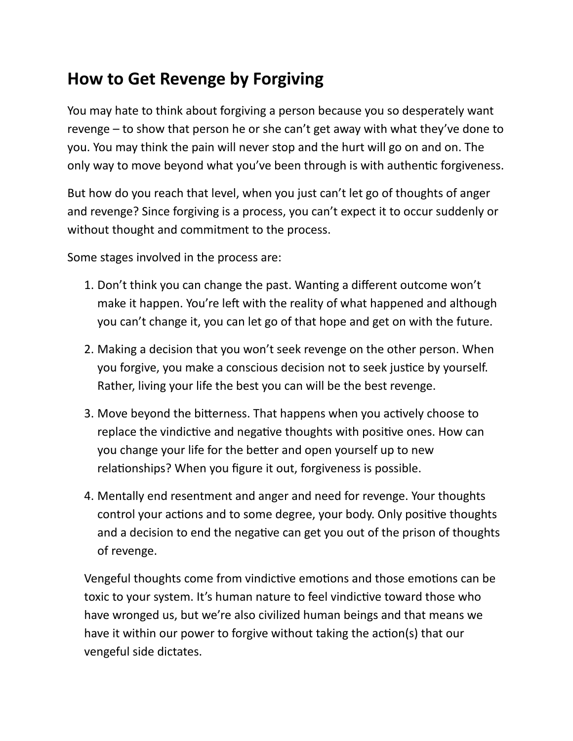## **How to Get Revenge by Forgiving**

You may hate to think about forgiving a person because you so desperately want revenge  $-$  to show that person he or she can't get away with what they've done to you. You may think the pain will never stop and the hurt will go on and on. The only way to move beyond what you've been through is with authentic forgiveness.

But how do you reach that level, when you just can't let go of thoughts of anger and revenge? Since forgiving is a process, you can't expect it to occur suddenly or without thought and commitment to the process.

Some stages involved in the process are:

- 1. Don't think you can change the past. Wanting a different outcome won't make it happen. You're left with the reality of what happened and although you can't change it, you can let go of that hope and get on with the future.
- 2. Making a decision that you won't seek revenge on the other person. When you forgive, you make a conscious decision not to seek justice by yourself. Rather, living your life the best you can will be the best revenge.
- 3. Move beyond the bitterness. That happens when you actively choose to replace the vindictive and negative thoughts with positive ones. How can you change your life for the better and open yourself up to new relationships? When you figure it out, forgiveness is possible.
- 4. Mentally end resentment and anger and need for revenge. Your thoughts control your actions and to some degree, your body. Only positive thoughts and a decision to end the negative can get you out of the prison of thoughts of revenge.

Vengeful thoughts come from vindictive emotions and those emotions can be toxic to your system. It's human nature to feel vindictive toward those who have wronged us, but we're also civilized human beings and that means we have it within our power to forgive without taking the action(s) that our vengeful side dictates.